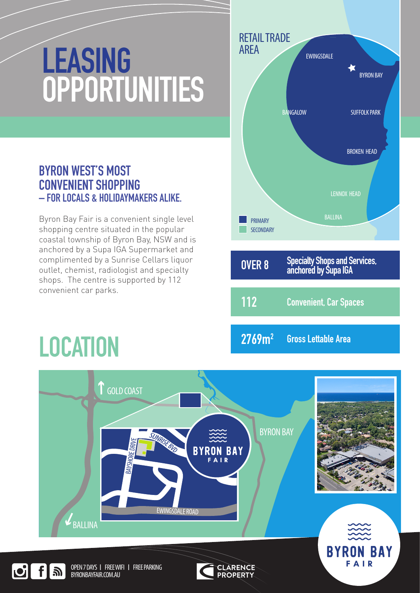# **LEASING OPPORTUNITIES**

## **BYRON WEST'S MOST CONVENIENT SHOPPING – FOR LOCALS & HOLIDAYMAKERS ALIKE.**

Byron Bay Fair is a convenient single level shopping centre situated in the popular coastal township of Byron Bay, NSW and is anchored by a Supa IGA Supermarket and complimented by a Sunrise Cellars liquor outlet, chemist, radiologist and specialty shops. The centre is supported by 112 convenient car parks.

## **LOCATION**



**Gross Lettable Area 2769m2**